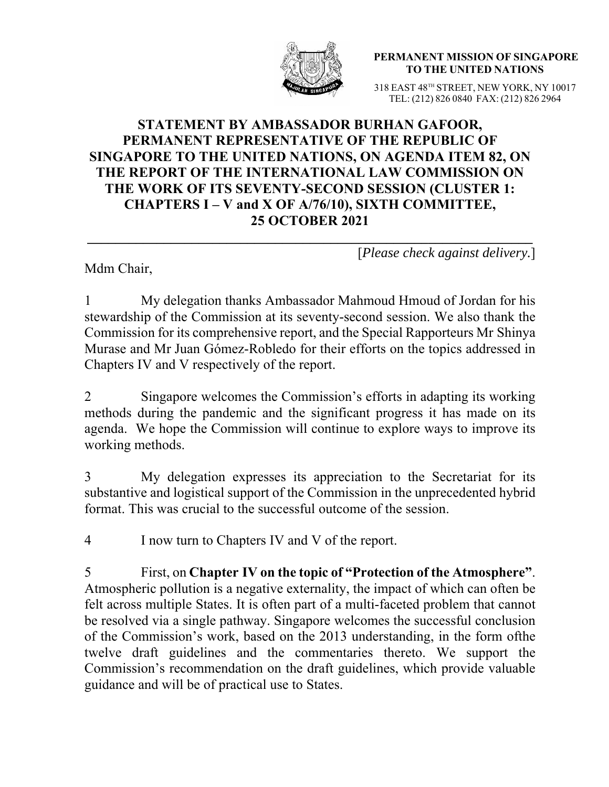

**PERMANENT MISSION OF SINGAPORE TO THE UNITED NATIONS**

318 EAST 48TH STREET, NEW YORK, NY 10017 TEL: (212) 826 0840 FAX: (212) 826 2964

## **STATEMENT BY AMBASSADOR BURHAN GAFOOR, PERMANENT REPRESENTATIVE OF THE REPUBLIC OF SINGAPORE TO THE UNITED NATIONS, ON AGENDA ITEM 82, ON THE REPORT OF THE INTERNATIONAL LAW COMMISSION ON THE WORK OF ITS SEVENTY-SECOND SESSION (CLUSTER 1: CHAPTERS I – V and X OF A/76/10), SIXTH COMMITTEE, 25 OCTOBER 2021**

Mdm Chair,

[*Please check against delivery.*]

1 My delegation thanks Ambassador Mahmoud Hmoud of Jordan for his stewardship of the Commission at its seventy-second session. We also thank the Commission for its comprehensive report, and the Special Rapporteurs Mr Shinya Murase and Mr Juan Gómez-Robledo for their efforts on the topics addressed in Chapters IV and V respectively of the report.

2 Singapore welcomes the Commission's efforts in adapting its working methods during the pandemic and the significant progress it has made on its agenda. We hope the Commission will continue to explore ways to improve its working methods.

3 My delegation expresses its appreciation to the Secretariat for its substantive and logistical support of the Commission in the unprecedented hybrid format. This was crucial to the successful outcome of the session.

4 I now turn to Chapters IV and V of the report.

5 First, on **Chapter IV on the topic of "Protection of the Atmosphere"**. Atmospheric pollution is a negative externality, the impact of which can often be felt across multiple States. It is often part of a multi-faceted problem that cannot be resolved via a single pathway. Singapore welcomes the successful conclusion of the Commission's work, based on the 2013 understanding, in the form ofthe twelve draft guidelines and the commentaries thereto. We support the Commission's recommendation on the draft guidelines, which provide valuable guidance and will be of practical use to States.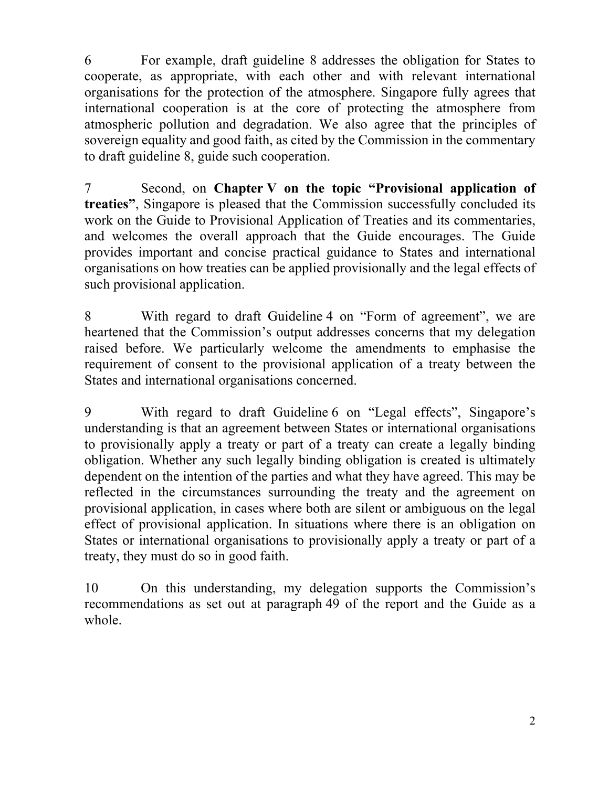6 For example, draft guideline 8 addresses the obligation for States to cooperate, as appropriate, with each other and with relevant international organisations for the protection of the atmosphere. Singapore fully agrees that international cooperation is at the core of protecting the atmosphere from atmospheric pollution and degradation. We also agree that the principles of sovereign equality and good faith, as cited by the Commission in the commentary to draft guideline 8, guide such cooperation.

7 Second, on **Chapter V on the topic "Provisional application of treaties"**, Singapore is pleased that the Commission successfully concluded its work on the Guide to Provisional Application of Treaties and its commentaries, and welcomes the overall approach that the Guide encourages. The Guide provides important and concise practical guidance to States and international organisations on how treaties can be applied provisionally and the legal effects of such provisional application.

8 With regard to draft Guideline 4 on "Form of agreement", we are heartened that the Commission's output addresses concerns that my delegation raised before. We particularly welcome the amendments to emphasise the requirement of consent to the provisional application of a treaty between the States and international organisations concerned.

9 With regard to draft Guideline 6 on "Legal effects", Singapore's understanding is that an agreement between States or international organisations to provisionally apply a treaty or part of a treaty can create a legally binding obligation. Whether any such legally binding obligation is created is ultimately dependent on the intention of the parties and what they have agreed. This may be reflected in the circumstances surrounding the treaty and the agreement on provisional application, in cases where both are silent or ambiguous on the legal effect of provisional application. In situations where there is an obligation on States or international organisations to provisionally apply a treaty or part of a treaty, they must do so in good faith.

10 On this understanding, my delegation supports the Commission's recommendations as set out at paragraph 49 of the report and the Guide as a whole.